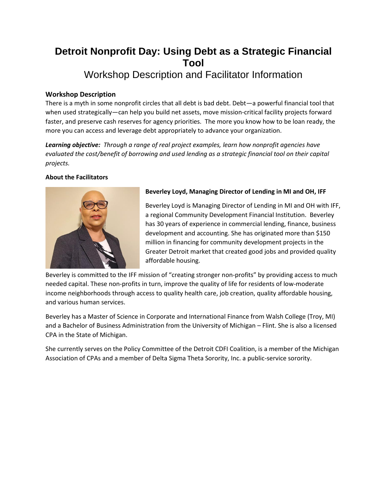# **Detroit Nonprofit Day: Using Debt as a Strategic Financial Tool** Workshop Description and Facilitator Information

## **Workshop Description**

There is a myth in some nonprofit circles that all debt is bad debt. Debt—a powerful financial tool that when used strategically—can help you build net assets, move mission-critical facility projects forward faster, and preserve cash reserves for agency priorities. The more you know how to be loan ready, the more you can access and leverage debt appropriately to advance your organization.

*Learning objective: Through a range of real project examples, learn how nonprofit agencies have evaluated the cost/benefit of borrowing and used lending as a strategic financial tool on their capital projects.*

#### **About the Facilitators**



### **Beverley Loyd, Managing Director of Lending in MI and OH, IFF**

Beverley Loyd is Managing Director of Lending in MI and OH with IFF, a regional Community Development Financial Institution. Beverley has 30 years of experience in commercial lending, finance, business development and accounting. She has originated more than \$150 million in financing for community development projects in the Greater Detroit market that created good jobs and provided quality affordable housing.

Beverley is committed to the IFF mission of "creating stronger non-profits" by providing access to much needed capital. These non-profits in turn, improve the quality of life for residents of low-moderate income neighborhoods through access to quality health care, job creation, quality affordable housing, and various human services.

Beverley has a Master of Science in Corporate and International Finance from Walsh College (Troy, MI) and a Bachelor of Business Administration from the University of Michigan – Flint. She is also a licensed CPA in the State of Michigan.

She currently serves on the Policy Committee of the Detroit CDFI Coalition, is a member of the Michigan Association of CPAs and a member of Delta Sigma Theta Sorority, Inc. a public-service sorority.